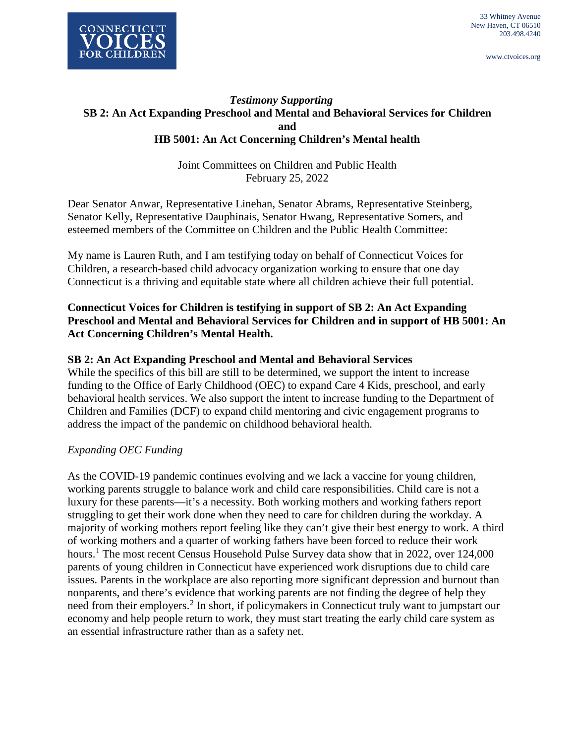

www.ctvoices.org

## *Testimony Supporting* **SB 2: An Act Expanding Preschool and Mental and Behavioral Services for Children and HB 5001: An Act Concerning Children's Mental health**

Joint Committees on Children and Public Health February 25, 2022

Dear Senator Anwar, Representative Linehan, Senator Abrams, Representative Steinberg, Senator Kelly, Representative Dauphinais, Senator Hwang, Representative Somers, and esteemed members of the Committee on Children and the Public Health Committee:

My name is Lauren Ruth, and I am testifying today on behalf of Connecticut Voices for Children, a research-based child advocacy organization working to ensure that one day Connecticut is a thriving and equitable state where all children achieve their full potential.

### **Connecticut Voices for Children is testifying in support of SB 2: An Act Expanding Preschool and Mental and Behavioral Services for Children and in support of HB 5001: An Act Concerning Children's Mental Health.**

## **SB 2: An Act Expanding Preschool and Mental and Behavioral Services**

While the specifics of this bill are still to be determined, we support the intent to increase funding to the Office of Early Childhood (OEC) to expand Care 4 Kids, preschool, and early behavioral health services. We also support the intent to increase funding to the Department of Children and Families (DCF) to expand child mentoring and civic engagement programs to address the impact of the pandemic on childhood behavioral health.

### *Expanding OEC Funding*

As the COVID-19 pandemic continues evolving and we lack a vaccine for young children, working parents struggle to balance work and child care responsibilities. Child care is not a luxury for these parents—it's a necessity. Both working mothers and working fathers report struggling to get their work done when they need to care for children during the workday. A majority of working mothers report feeling like they can't give their best energy to work. A third of working mothers and a quarter of working fathers have been forced to reduce their work hours.<sup>[1](#page-7-0)</sup> The most recent Census Household Pulse Survey data show that in 2022, over 124,000 parents of young children in Connecticut have experienced work disruptions due to child care issues. Parents in the workplace are also reporting more significant depression and burnout than nonparents, and there's evidence that working parents are not finding the degree of help they need from their employers.<sup>[2](#page-7-1)</sup> In short, if policymakers in Connecticut truly want to jumpstart our economy and help people return to work, they must start treating the early child care system as an essential infrastructure rather than as a safety net.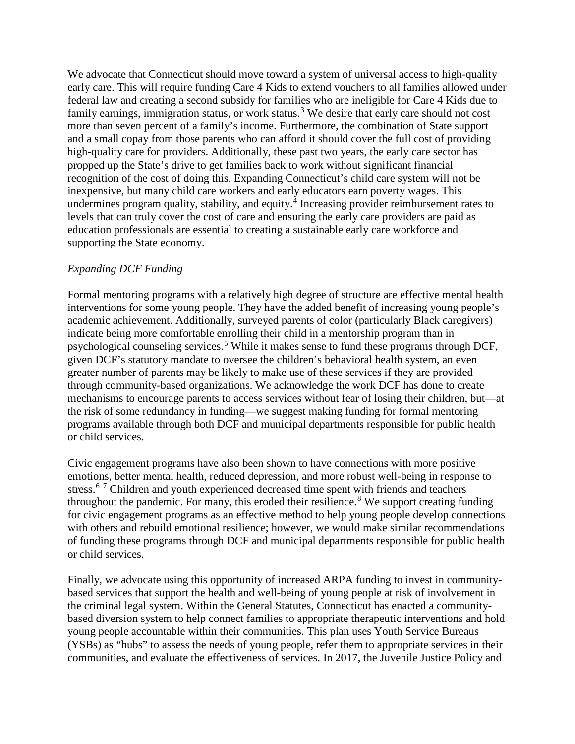We advocate that Connecticut should move toward a system of universal access to high-quality early care. This will require funding Care 4 Kids to extend vouchers to all families allowed under federal law and creating a second subsidy for families who are ineligible for Care 4 Kids due to family earnings, immigration status, or work status.<sup>[3](#page-8-0)</sup> We desire that early care should not cost more than seven percent of a family's income. Furthermore, the combination of State support and a small copay from those parents who can afford it should cover the full cost of providing high-quality care for providers. Additionally, these past two years, the early care sector has propped up the State's drive to get families back to work without significant financial recognition of the cost of doing this. Expanding Connecticut's child care system will not be inexpensive, but many child care workers and early educators earn poverty wages. This undermines program quality, stability, and equity.<sup>[4](#page-8-1)</sup> Increasing provider reimbursement rates to levels that can truly cover the cost of care and ensuring the early care providers are paid as education professionals are essential to creating a sustainable early care workforce and supporting the State economy.

### *Expanding DCF Funding*

Formal mentoring programs with a relatively high degree of structure are effective mental health interventions for some young people. They have the added benefit of increasing young people's academic achievement. Additionally, surveyed parents of color (particularly Black caregivers) indicate being more comfortable enrolling their child in a mentorship program than in psychological counseling services.<sup>[5](#page-8-2)</sup> While it makes sense to fund these programs through DCF, given DCF's statutory mandate to oversee the children's behavioral health system, an even greater number of parents may be likely to make use of these services if they are provided through community-based organizations. We acknowledge the work DCF has done to create mechanisms to encourage parents to access services without fear of losing their children, but—at the risk of some redundancy in funding—we suggest making funding for formal mentoring programs available through both DCF and municipal departments responsible for public health or child services.

Civic engagement programs have also been shown to have connections with more positive emotions, better mental health, reduced depression, and more robust well-being in response to stress.<sup>[6](#page-8-3)[7](#page-8-4)</sup> Children and youth experienced decreased time spent with friends and teachers throughout the pandemic. For many, this eroded their resilience.<sup>[8](#page-8-5)</sup> We support creating funding for civic engagement programs as an effective method to help young people develop connections with others and rebuild emotional resilience; however, we would make similar recommendations of funding these programs through DCF and municipal departments responsible for public health or child services.

Finally, we advocate using this opportunity of increased ARPA funding to invest in communitybased services that support the health and well-being of young people at risk of involvement in the criminal legal system. Within the General Statutes, Connecticut has enacted a communitybased diversion system to help connect families to appropriate therapeutic interventions and hold young people accountable within their communities. This plan uses Youth Service Bureaus (YSBs) as "hubs" to assess the needs of young people, refer them to appropriate services in their communities, and evaluate the effectiveness of services. In 2017, the Juvenile Justice Policy and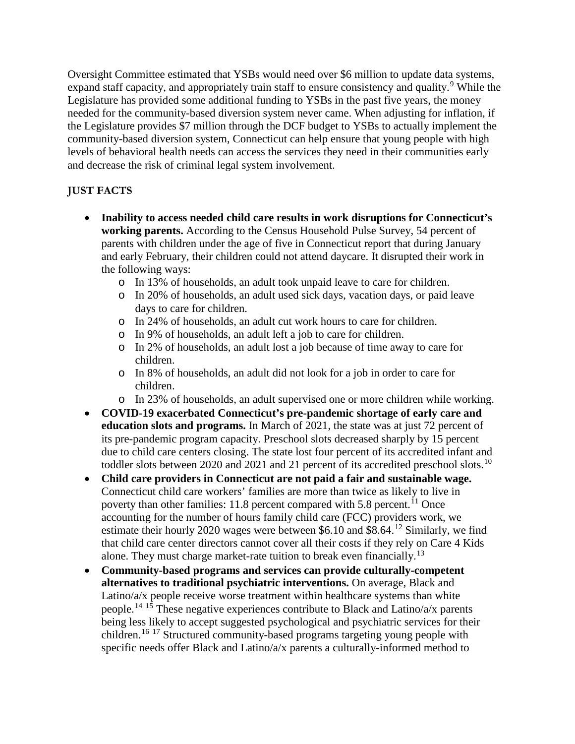Oversight Committee estimated that YSBs would need over \$6 million to update data systems, expand staff capacity, and appropriately train staff to ensure consistency and quality.<sup>[9](#page-8-6)</sup> While the Legislature has provided some additional funding to YSBs in the past five years, the money needed for the community-based diversion system never came. When adjusting for inflation, if the Legislature provides \$7 million through the DCF budget to YSBs to actually implement the community-based diversion system, Connecticut can help ensure that young people with high levels of behavioral health needs can access the services they need in their communities early and decrease the risk of criminal legal system involvement.

## **JUST FACTS**

- **Inability to access needed child care results in work disruptions for Connecticut's working parents.** According to the Census Household Pulse Survey, 54 percent of parents with children under the age of five in Connecticut report that during January and early February, their children could not attend daycare. It disrupted their work in the following ways:
	- o In 13% of households, an adult took unpaid leave to care for children.
	- o In 20% of households, an adult used sick days, vacation days, or paid leave days to care for children.
	- o In 24% of households, an adult cut work hours to care for children.
	- o In 9% of households, an adult left a job to care for children.
	- o In 2% of households, an adult lost a job because of time away to care for children.
	- o In 8% of households, an adult did not look for a job in order to care for children.
	- o In 23% of households, an adult supervised one or more children while working.
- **COVID-19 exacerbated Connecticut's pre-pandemic shortage of early care and education slots and programs.** In March of 2021, the state was at just 72 percent of its pre-pandemic program capacity. Preschool slots decreased sharply by 15 percent due to child care centers closing. The state lost four percent of its accredited infant and toddler slots between 2020 and 2021 and 21 percent of its accredited preschool slots.<sup>[10](#page-8-7)</sup>
- **Child care providers in Connecticut are not paid a fair and sustainable wage.**  Connecticut child care workers' families are more than twice as likely to live in poverty than other families: [11](#page-8-8).8 percent compared with 5.8 percent.<sup>11</sup> Once accounting for the number of hours family child care (FCC) providers work, we estimate their hourly 2020 wages were between \$6.10 and \$8.64.<sup>[12](#page-8-9)</sup> Similarly, we find that child care center directors cannot cover all their costs if they rely on Care 4 Kids alone. They must charge market-rate tuition to break even financially.<sup>[13](#page-8-10)</sup>
- **Community-based programs and services can provide culturally-competent alternatives to traditional psychiatric interventions.** On average, Black and Latino/a/x people receive worse treatment within healthcare systems than white people.[14](#page-8-11) [15](#page-8-12) These negative experiences contribute to Black and Latino/a/x parents being less likely to accept suggested psychological and psychiatric services for their children.[16](#page-8-13) [17](#page-8-14) Structured community-based programs targeting young people with specific needs offer Black and Latino/a/x parents a culturally-informed method to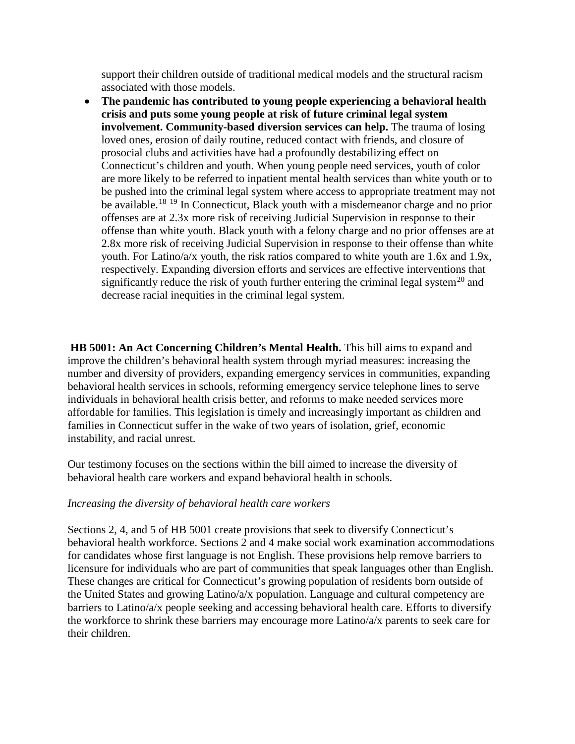support their children outside of traditional medical models and the structural racism associated with those models.

• **The pandemic has contributed to young people experiencing a behavioral health crisis and puts some young people at risk of future criminal legal system involvement. Community-based diversion services can help.** The trauma of losing loved ones, erosion of daily routine, reduced contact with friends, and closure of prosocial clubs and activities have had a profoundly destabilizing effect on Connecticut's children and youth. When young people need services, youth of color are more likely to be referred to inpatient mental health services than white youth or to be pushed into the criminal legal system where access to appropriate treatment may not be available.<sup>[18](#page-8-15) [19](#page-8-16)</sup> In Connecticut, Black youth with a misdemeanor charge and no prior offenses are at 2.3x more risk of receiving Judicial Supervision in response to their offense than white youth. Black youth with a felony charge and no prior offenses are at 2.8x more risk of receiving Judicial Supervision in response to their offense than white youth. For Latino/a/x youth, the risk ratios compared to white youth are 1.6x and 1.9x, respectively. Expanding diversion efforts and services are effective interventions that significantly reduce the risk of youth further entering the criminal legal system<sup>[20](#page-8-17)</sup> and decrease racial inequities in the criminal legal system.

**HB 5001: An Act Concerning Children's Mental Health.** This bill aims to expand and improve the children's behavioral health system through myriad measures: increasing the number and diversity of providers, expanding emergency services in communities, expanding behavioral health services in schools, reforming emergency service telephone lines to serve individuals in behavioral health crisis better, and reforms to make needed services more affordable for families. This legislation is timely and increasingly important as children and families in Connecticut suffer in the wake of two years of isolation, grief, economic instability, and racial unrest.

Our testimony focuses on the sections within the bill aimed to increase the diversity of behavioral health care workers and expand behavioral health in schools.

#### *Increasing the diversity of behavioral health care workers*

Sections 2, 4, and 5 of HB 5001 create provisions that seek to diversify Connecticut's behavioral health workforce. Sections 2 and 4 make social work examination accommodations for candidates whose first language is not English. These provisions help remove barriers to licensure for individuals who are part of communities that speak languages other than English. These changes are critical for Connecticut's growing population of residents born outside of the United States and growing Latino/a/x population. Language and cultural competency are barriers to Latino/a/x people seeking and accessing behavioral health care. Efforts to diversify the workforce to shrink these barriers may encourage more Latino/a/x parents to seek care for their children.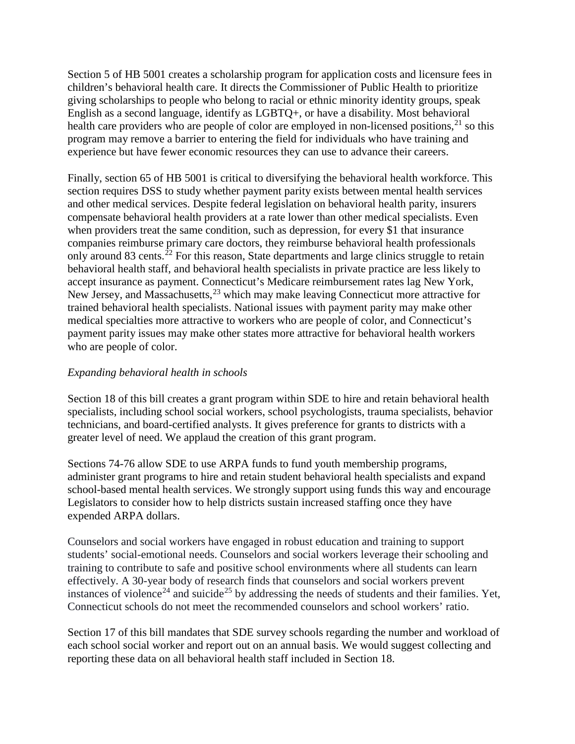Section 5 of HB 5001 creates a scholarship program for application costs and licensure fees in children's behavioral health care. It directs the Commissioner of Public Health to prioritize giving scholarships to people who belong to racial or ethnic minority identity groups, speak English as a second language, identify as LGBTQ+, or have a disability. Most behavioral health care providers who are people of color are employed in non-licensed positions,  $21$  so this program may remove a barrier to entering the field for individuals who have training and experience but have fewer economic resources they can use to advance their careers.

Finally, section 65 of HB 5001 is critical to diversifying the behavioral health workforce. This section requires DSS to study whether payment parity exists between mental health services and other medical services. Despite federal legislation on behavioral health parity, insurers compensate behavioral health providers at a rate lower than other medical specialists. Even when providers treat the same condition, such as depression, for every \$1 that insurance companies reimburse primary care doctors, they reimburse behavioral health professionals only around 83 cents.<sup> $22$ </sup> For this reason, State departments and large clinics struggle to retain behavioral health staff, and behavioral health specialists in private practice are less likely to accept insurance as payment. Connecticut's Medicare reimbursement rates lag New York, New Jersey, and Massachusetts,  $23$  which may make leaving Connecticut more attractive for trained behavioral health specialists. National issues with payment parity may make other medical specialties more attractive to workers who are people of color, and Connecticut's payment parity issues may make other states more attractive for behavioral health workers who are people of color.

#### *Expanding behavioral health in schools*

Section 18 of this bill creates a grant program within SDE to hire and retain behavioral health specialists, including school social workers, school psychologists, trauma specialists, behavior technicians, and board-certified analysts. It gives preference for grants to districts with a greater level of need. We applaud the creation of this grant program.

Sections 74-76 allow SDE to use ARPA funds to fund youth membership programs, administer grant programs to hire and retain student behavioral health specialists and expand school-based mental health services. We strongly support using funds this way and encourage Legislators to consider how to help districts sustain increased staffing once they have expended ARPA dollars.

Counselors and social workers have engaged in robust education and training to support students' social-emotional needs. Counselors and social workers leverage their schooling and training to contribute to safe and positive school environments where all students can learn effectively. A 30-year body of research finds that counselors and social workers prevent instances of violence<sup>[24](#page-8-2)</sup> and suicide<sup>[25](#page-8-20)</sup> by addressing the needs of students and their families. Yet, Connecticut schools do not meet the recommended counselors and school workers' ratio.

Section 17 of this bill mandates that SDE survey schools regarding the number and workload of each school social worker and report out on an annual basis. We would suggest collecting and reporting these data on all behavioral health staff included in Section 18.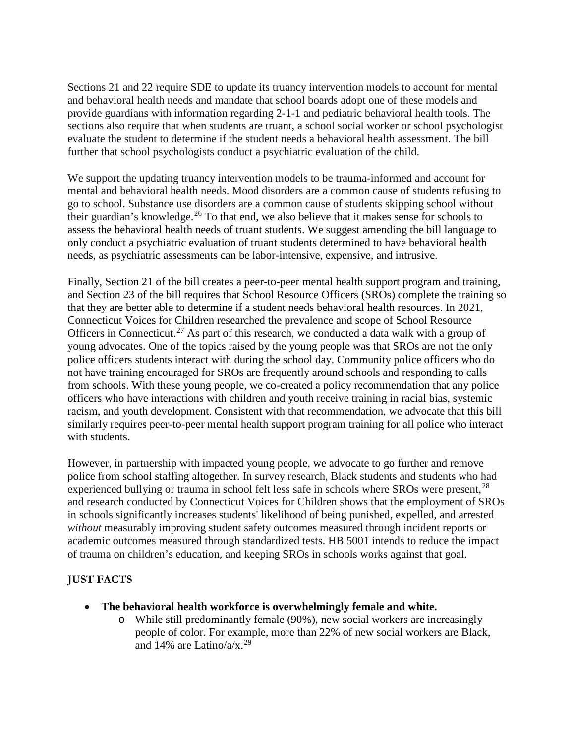Sections 21 and 22 require SDE to update its truancy intervention models to account for mental and behavioral health needs and mandate that school boards adopt one of these models and provide guardians with information regarding 2-1-1 and pediatric behavioral health tools. The sections also require that when students are truant, a school social worker or school psychologist evaluate the student to determine if the student needs a behavioral health assessment. The bill further that school psychologists conduct a psychiatric evaluation of the child.

We support the updating truancy intervention models to be trauma-informed and account for mental and behavioral health needs. Mood disorders are a common cause of students refusing to go to school. Substance use disorders are a common cause of students skipping school without their guardian's knowledge.<sup>[26](#page-8-21)</sup> To that end, we also believe that it makes sense for schools to assess the behavioral health needs of truant students. We suggest amending the bill language to only conduct a psychiatric evaluation of truant students determined to have behavioral health needs, as psychiatric assessments can be labor-intensive, expensive, and intrusive.

Finally, Section 21 of the bill creates a peer-to-peer mental health support program and training, and Section 23 of the bill requires that School Resource Officers (SROs) complete the training so that they are better able to determine if a student needs behavioral health resources. In 2021, Connecticut Voices for Children researched the prevalence and scope of School Resource Officers in Connecticut.<sup>[27](#page-8-22)</sup> As part of this research, we conducted a data walk with a group of young advocates. One of the topics raised by the young people was that SROs are not the only police officers students interact with during the school day. Community police officers who do not have training encouraged for SROs are frequently around schools and responding to calls from schools. With these young people, we co-created a policy recommendation that any police officers who have interactions with children and youth receive training in racial bias, systemic racism, and youth development. Consistent with that recommendation, we advocate that this bill similarly requires peer-to-peer mental health support program training for all police who interact with students.

However, in partnership with impacted young people, we advocate to go further and remove police from school staffing altogether. In survey research, Black students and students who had experienced bullying or trauma in school felt less safe in schools where SROs were present,  $^{28}$  $^{28}$  $^{28}$ and research conducted by Connecticut Voices for Children shows that the employment of SROs in schools significantly increases students' likelihood of being punished, expelled, and arrested *without* measurably improving student safety outcomes measured through incident reports or academic outcomes measured through standardized tests. HB 5001 intends to reduce the impact of trauma on children's education, and keeping SROs in schools works against that goal.

# **JUST FACTS**

- **The behavioral health workforce is overwhelmingly female and white.**
	- o While still predominantly female (90%), new social workers are increasingly people of color. For example, more than 22% of new social workers are Black, and 14% are Latino/a/x.<sup>[29](#page-8-6)</sup>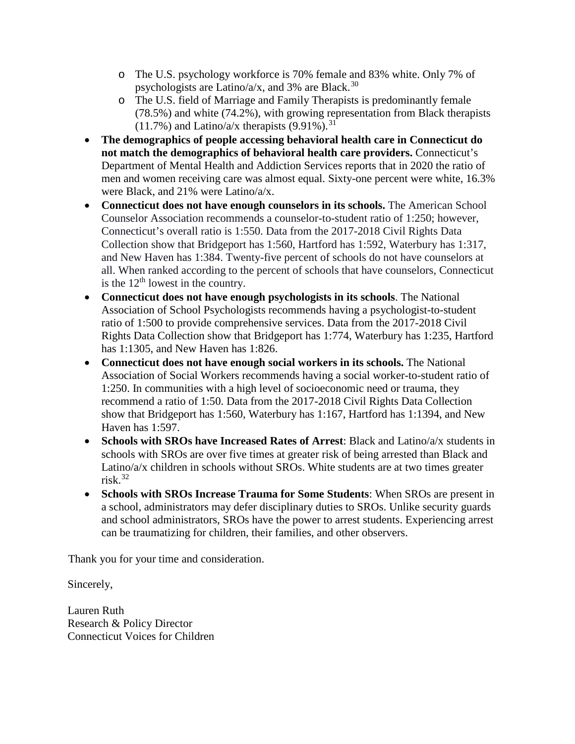- o The U.S. psychology workforce is 70% female and 83% white. Only 7% of psychologists are Latino/a/x, and 3% are Black.<sup>[30](#page-8-8)</sup>
- o The U.S. field of Marriage and Family Therapists is predominantly female (78.5%) and white (74.2%), with growing representation from Black therapists  $(11.7\%)$  and Latino/a/x therapists  $(9.91\%)$ .<sup>[31](#page-8-9)</sup>
- **The demographics of people accessing behavioral health care in Connecticut do not match the demographics of behavioral health care providers.** Connecticut's Department of Mental Health and Addiction Services reports that in 2020 the ratio of men and women receiving care was almost equal. Sixty-one percent were white, 16.3% were Black, and 21% were Latino/a/x.
- **Connecticut does not have enough counselors in its schools.** The American School Counselor Association recommends a counselor-to-student ratio of 1:250; however, Connecticut's overall ratio is 1:550. Data from the 2017-2018 Civil Rights Data Collection show that Bridgeport has 1:560, Hartford has 1:592, Waterbury has 1:317, and New Haven has 1:384. Twenty-five percent of schools do not have counselors at all. When ranked according to the percent of schools that have counselors, Connecticut is the  $12<sup>th</sup>$  lowest in the country.
- **Connecticut does not have enough psychologists in its schools**. The National Association of School Psychologists recommends having a psychologist-to-student ratio of 1:500 to provide comprehensive services. Data from the 2017-2018 Civil Rights Data Collection show that Bridgeport has 1:774, Waterbury has 1:235, Hartford has 1:1305, and New Haven has 1:826.
- **Connecticut does not have enough social workers in its schools.** The National Association of Social Workers recommends having a social worker-to-student ratio of 1:250. In communities with a high level of socioeconomic need or trauma, they recommend a ratio of 1:50. Data from the 2017-2018 Civil Rights Data Collection show that Bridgeport has 1:560, Waterbury has 1:167, Hartford has 1:1394, and New Haven has 1:597.
- **Schools with SROs have Increased Rates of Arrest**: Black and Latino/a/x students in schools with SROs are over five times at greater risk of being arrested than Black and Latino/a/x children in schools without SROs. White students are at two times greater risk.[32](#page-8-10)
- **Schools with SROs Increase Trauma for Some Students**: When SROs are present in a school, administrators may defer disciplinary duties to SROs. Unlike security guards and school administrators, SROs have the power to arrest students. Experiencing arrest can be traumatizing for children, their families, and other observers.

Thank you for your time and consideration.

Sincerely,

Lauren Ruth Research & Policy Director Connecticut Voices for Children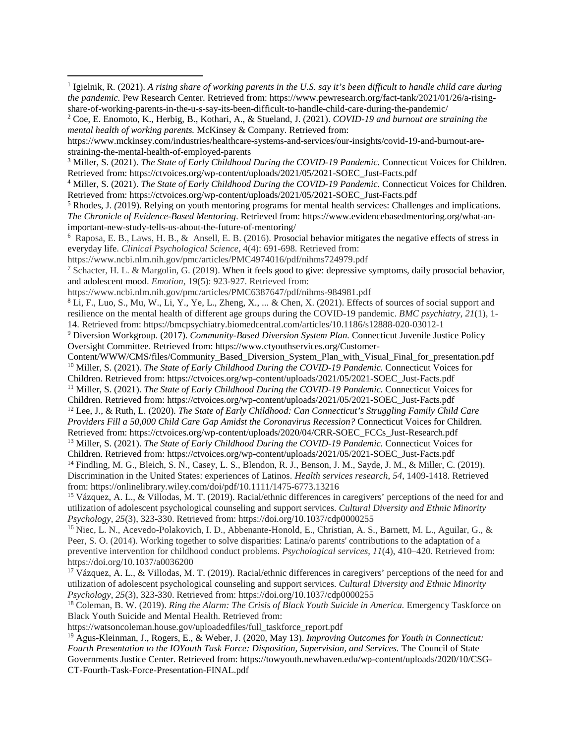https://www.ncbi.nlm.nih.gov/pmc/articles/PMC4974016/pdf/nihms724979.pdf

 $\overline{a}$ 

<sup>7</sup> Schacter, H. L. & Margolin, G. (2019). When it feels good to give: depressive symptoms, daily prosocial behavior, and adolescent mood. *Emotion,* 19(5): 923-927. Retrieved from:

https://www.ncbi.nlm.nih.gov/pmc/articles/PMC6387647/pdf/nihms-984981.pdf

<sup>8</sup> Li, F., Luo, S., Mu, W., Li, Y., Ye, L., Zheng, X., ... & Chen, X. (2021). Effects of sources of social support and resilience on the mental health of different age groups during the COVID-19 pandemic. *BMC psychiatry*, *21*(1), 1- 14. Retrieved from: https://bmcpsychiatry.biomedcentral.com/articles/10.1186/s12888-020-03012-1

<sup>9</sup> Diversion Workgroup. (2017). *Community-Based Diversion System Plan.* Connecticut Juvenile Justice Policy Oversight Committee. Retrieved from: https://www.ctyouthservices.org/Customer-

Content/WWW/CMS/files/Community\_Based\_Diversion\_System\_Plan\_with\_Visual\_Final\_for\_presentation.pdf <sup>10</sup> Miller, S. (2021). *The State of Early Childhood During the COVID-19 Pandemic.* Connecticut Voices for

Children. Retrieved from: https://ctvoices.org/wp-content/uploads/2021/05/2021-SOEC\_Just-Facts.pdf

<sup>11</sup> Miller, S. (2021). *The State of Early Childhood During the COVID-19 Pandemic.* Connecticut Voices for Children. Retrieved from: https://ctvoices.org/wp-content/uploads/2021/05/2021-SOEC\_Just-Facts.pdf

<sup>12</sup> Lee, J., & Ruth, L. (2020). *The State of Early Childhood: Can Connecticut's Struggling Family Child Care Providers Fill a 50,000 Child Care Gap Amidst the Coronavirus Recession?* Connecticut Voices for Children. Retrieved from: https://ctvoices.org/wp-content/uploads/2020/04/CRR-SOEC\_FCCs\_Just-Research.pdf

<sup>13</sup> Miller, S. (2021). *The State of Early Childhood During the COVID-19 Pandemic.* Connecticut Voices for Children. Retrieved from: https://ctvoices.org/wp-content/uploads/2021/05/2021-SOEC\_Just-Facts.pdf

<sup>14</sup> Findling, M. G., Bleich, S. N., Casey, L. S., Blendon, R. J., Benson, J. M., Sayde, J. M., & Miller, C. (2019). Discrimination in the United States: experiences of Latinos. *Health services research*, *54*, 1409-1418. Retrieved from: https://onlinelibrary.wiley.com/doi/pdf/10.1111/1475-6773.13216

<sup>15</sup> Vázquez, A. L., & Villodas, M. T. (2019). Racial/ethnic differences in caregivers' perceptions of the need for and utilization of adolescent psychological counseling and support services. *Cultural Diversity and Ethnic Minority Psychology*, *25*(3), 323-330. Retrieved from: https://doi.org/10.1037/cdp0000255

<sup>16</sup> Niec, L. N., Acevedo-Polakovich, I. D., Abbenante-Honold, E., Christian, A. S., Barnett, M. L., Aguilar, G., & Peer, S. O. (2014). Working together to solve disparities: Latina/o parents' contributions to the adaptation of a preventive intervention for childhood conduct problems. *Psychological services*, *11*(4), 410–420. Retrieved from: https://doi.org/10.1037/a0036200

<sup>17</sup> Vázquez, A. L., & Villodas, M. T. (2019). Racial/ethnic differences in caregivers' perceptions of the need for and utilization of adolescent psychological counseling and support services. *Cultural Diversity and Ethnic Minority Psychology*, *25*(3), 323-330. Retrieved from: https://doi.org/10.1037/cdp0000255

<sup>18</sup> Coleman, B. W. (2019). *Ring the Alarm: The Crisis of Black Youth Suicide in America.* Emergency Taskforce on Black Youth Suicide and Mental Health. Retrieved from:

https://watsoncoleman.house.gov/uploadedfiles/full\_taskforce\_report.pdf

<sup>19</sup> Agus-Kleinman, J., Rogers, E., & Weber, J. (2020, May 13). *Improving Outcomes for Youth in Connecticut: Fourth Presentation to the IOYouth Task Force: Disposition, Supervision, and Services.* The Council of State Governments Justice Center. Retrieved from: https://towyouth.newhaven.edu/wp-content/uploads/2020/10/CSG-CT-Fourth-Task-Force-Presentation-FINAL.pdf

<span id="page-7-0"></span><sup>1</sup> Igielnik, R. (2021). *A rising share of working parents in the U.S. say it's been difficult to handle child care during the pandemic.* Pew Research Center. Retrieved from: https://www.pewresearch.org/fact-tank/2021/01/26/a-risingshare-of-working-parents-in-the-u-s-say-its-been-difficult-to-handle-child-care-during-the-pandemic/

<span id="page-7-1"></span><sup>2</sup> Coe, E. Enomoto, K., Herbig, B., Kothari, A., & Stueland, J. (2021). *COVID-19 and burnout are straining the mental health of working parents.* McKinsey & Company. Retrieved from:

https://www.mckinsey.com/industries/healthcare-systems-and-services/our-insights/covid-19-and-burnout-arestraining-the-mental-health-of-employed-parents

<sup>3</sup> Miller, S. (2021). *The State of Early Childhood During the COVID-19 Pandemic.* Connecticut Voices for Children. Retrieved from: https://ctvoices.org/wp-content/uploads/2021/05/2021-SOEC\_Just-Facts.pdf

<sup>4</sup> Miller, S. (2021). *The State of Early Childhood During the COVID-19 Pandemic.* Connecticut Voices for Children. Retrieved from: https://ctvoices.org/wp-content/uploads/2021/05/2021-SOEC\_Just-Facts.pdf

<sup>5</sup> Rhodes, J. *(*2019). Relying on youth mentoring programs for mental health services: Challenges and implications. *The Chronicle of Evidence-Based Mentoring*. Retrieved from: https://www.evidencebasedmentoring.org/what-animportant-new-study-tells-us-about-the-future-of-mentoring/

<sup>6</sup> Raposa, E. B., Laws, H. B., & Ansell, E. B. (2016). Prosocial behavior mitigates the negative effects of stress in everyday life. *Clinical Psychological Science*, 4(4): 691-698. Retrieved from: